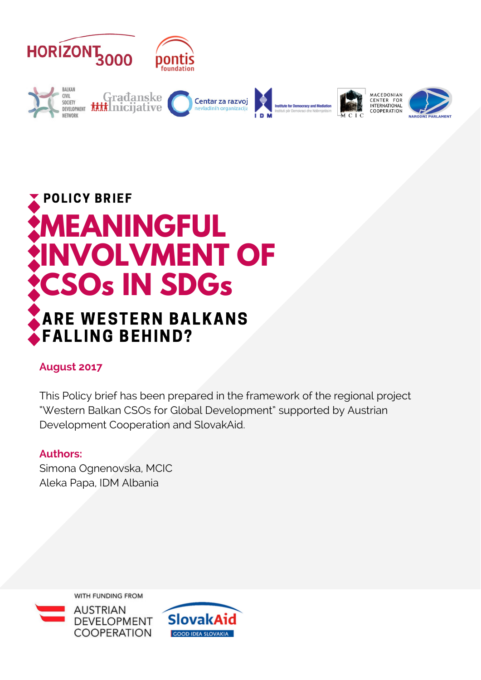



# ARE WESTERN BALKANS FALLING BEHIND?

# **August 2017**

This Policy brief has been prepared in the framework of the regional project "Western Balkan CSOs for Global Development" supported by Austrian Development Cooperation and SlovakAid.

## **Authors:**

Simona Ognenovska, MCIC Aleka Papa, IDM Albania

WITH FUNDING FROM



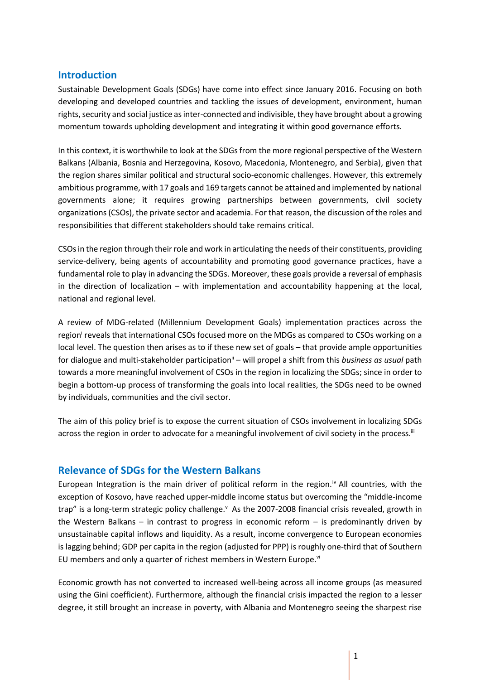#### **Introduction**

Sustainable Development Goals (SDGs) have come into effect since January 2016. Focusing on both developing and developed countries and tackling the issues of development, environment, human rights, security and social justice as inter-connected and indivisible, they have brought about a growing momentum towards upholding development and integrating it within good governance efforts.

In this context, it is worthwhile to look at the SDGs from the more regional perspective of the Western Balkans (Albania, Bosnia and Herzegovina, Kosovo, Macedonia, Montenegro, and Serbia), given that the region shares similar political and structural socio-economic challenges. However, this extremely ambitious programme, with 17 goals and 169 targets cannot be attained and implemented by national governments alone; it requires growing partnerships between governments, civil society organizations (CSOs), the private sector and academia. For that reason, the discussion of the roles and responsibilities that different stakeholders should take remains critical.

CSOsin the region through their role and work in articulating the needs of their constituents, providing service-delivery, being agents of accountability and promoting good governance practices, have a fundamental role to play in advancing the SDGs. Moreover, these goals provide a reversal of emphasis in the direction of localization – with implementation and accountability happening at the local, national and regional level.

A review of MDG-related (Millennium Development Goals) implementation practices across the region<sup>i</sup> reveals that international CSOs focused more on the MDGs as compared to CSOs working on a local level. The question then arises as to if these new set of goals – that provide ample opportunities for dialogue and multi-stakeholder participationii – will propel a shift from this *business as usual* path towards a more meaningful involvement of CSOs in the region in localizing the SDGs; since in order to begin a bottom-up process of transforming the goals into local realities, the SDGs need to be owned by individuals, communities and the civil sector.

The aim of this policy brief is to expose the current situation of CSOs involvement in localizing SDGs across the region in order to advocate for a meaningful involvement of civil society in the process.<sup>iii</sup>

#### **Relevance of SDGs for the Western Balkans**

European Integration is the main driver of political reform in the region.<sup> $iv$ </sup> All countries, with the exception of Kosovo, have reached upper-middle income status but overcoming the "middle-income trap" is a long-term strategic policy challenge. As the 2007-2008 financial crisis revealed, growth in the Western Balkans – in contrast to progress in economic reform – is predominantly driven by unsustainable capital inflows and liquidity. As a result, income convergence to European economies is lagging behind; GDP per capita in the region (adjusted for PPP) is roughly one-third that of Southern EU members and only a quarter of richest members in Western Europe.<sup>vi</sup>

Economic growth has not converted to increased well-being across all income groups (as measured using the Gini coefficient). Furthermore, although the financial crisis impacted the region to a lesser degree, it still brought an increase in poverty, with Albania and Montenegro seeing the sharpest rise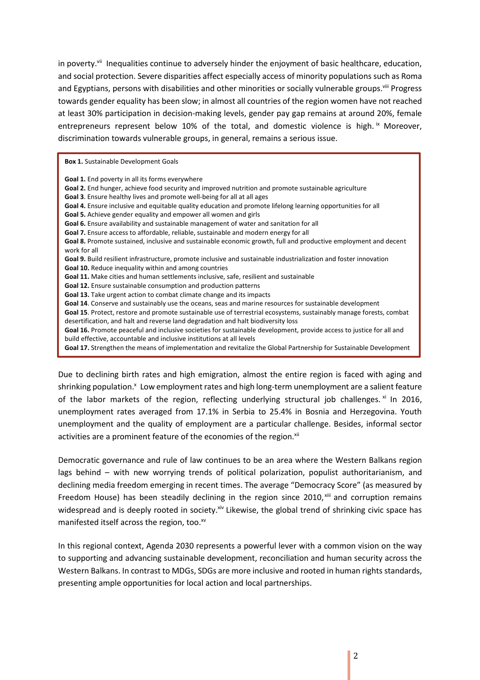in poverty.<sup>vii</sup> Inequalities continue to adversely hinder the enjoyment of basic healthcare, education, and social protection. Severe disparities affect especially access of minority populations such as Roma and Egyptians, persons with disabilities and other minorities or socially vulnerable groups.<sup>viii</sup> Progress towards gender equality has been slow; in almost all countries of the region women have not reached at least 30% participation in decision-making levels, gender pay gap remains at around 20%, female entrepreneurs represent below 10% of the total, and domestic violence is high. ix Moreover, discrimination towards vulnerable groups, in general, remains a serious issue.

**Box 1.** Sustainable Development Goals

**Goal 1.** End poverty in all its forms everywhere **Goal 2.** End hunger, achieve food security and improved nutrition and promote sustainable agriculture **Goal 3**. Ensure healthy lives and promote well-being for all at all ages **Goal 4.** Ensure inclusive and equitable quality education and promote lifelong learning opportunities for all **Goal 5.** Achieve gender equality and empower all women and girls **Goal 6.** Ensure availability and sustainable management of water and sanitation for all **Goal 7.** Ensure access to affordable, reliable, sustainable and modern energy for all **Goal 8.** Promote sustained, inclusive and sustainable economic growth, full and productive employment and decent work for all **Goal 9.** Build resilient infrastructure, promote inclusive and sustainable industrialization and foster innovation **Goal 10.** Reduce inequality within and among countries **Goal 11.** Make cities and human settlements inclusive, safe, resilient and sustainable **Goal 12.** Ensure sustainable consumption and production patterns **Goal 13.** Take urgent action to combat climate change and its impacts **Goal 14**. Conserve and sustainably use the oceans, seas and marine resources for sustainable development **Goal 15**. Protect, restore and promote sustainable use of terrestrial ecosystems, sustainably manage forests, combat desertification, and halt and reverse land degradation and halt biodiversity loss **Goal 16.** Promote peaceful and inclusive societies for sustainable development, provide access to justice for all and build effective, accountable and inclusive institutions at all levels **Goal 17.** Strengthen the means of implementation and revitalize the Global Partnership for Sustainable Development

Due to declining birth rates and high emigration, almost the entire region is faced with aging and shrinking population.<sup>x</sup> Low employment rates and high long-term unemployment are a salient feature of the labor markets of the region, reflecting underlying structural job challenges.  $x_i$  In 2016, unemployment rates averaged from 17.1% in Serbia to 25.4% in Bosnia and Herzegovina. Youth unemployment and the quality of employment are a particular challenge. Besides, informal sector activities are a prominent feature of the economies of the region.<sup>xii</sup>

Democratic governance and rule of law continues to be an area where the Western Balkans region lags behind – with new worrying trends of political polarization, populist authoritarianism, and declining media freedom emerging in recent times. The average "Democracy Score" (as measured by Freedom House) has been steadily declining in the region since 2010, xill and corruption remains widespread and is deeply rooted in society.<sup>xiv</sup> Likewise, the global trend of shrinking civic space has manifested itself across the region, too.<sup>xv</sup>

In this regional context, Agenda 2030 represents a powerful lever with a common vision on the way to supporting and advancing sustainable development, reconciliation and human security across the Western Balkans. In contrast to MDGs, SDGs are more inclusive and rooted in human rights standards, presenting ample opportunities for local action and local partnerships.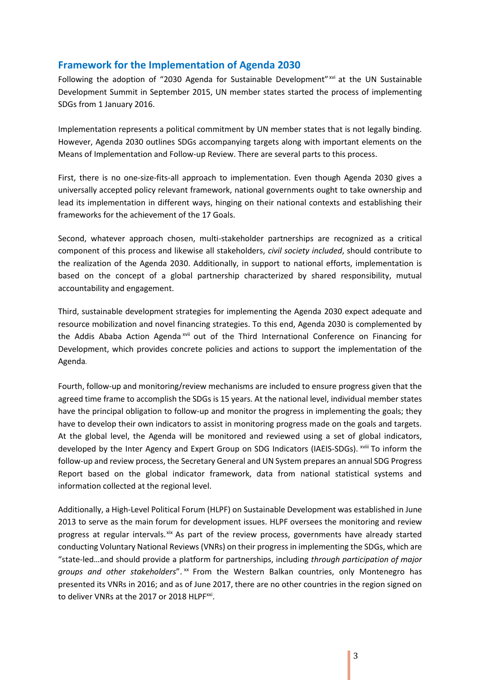## **Framework for the Implementation of Agenda 2030**

Following the adoption of "2030 Agenda for Sustainable Development" xvi at the UN Sustainable Development Summit in September 2015, UN member states started the process of implementing SDGs from 1 January 2016.

Implementation represents a political commitment by UN member states that is not legally binding. However, Agenda 2030 outlines SDGs accompanying targets along with important elements on the Means of Implementation and Follow-up Review. There are several parts to this process.

First, there is no one-size-fits-all approach to implementation. Even though Agenda 2030 gives a universally accepted policy relevant framework, national governments ought to take ownership and lead its implementation in different ways, hinging on their national contexts and establishing their frameworks for the achievement of the 17 Goals.

Second, whatever approach chosen, multi-stakeholder partnerships are recognized as a critical component of this process and likewise all stakeholders, *civil society included*, should contribute to the realization of the Agenda 2030. Additionally, in support to national efforts, implementation is based on the concept of a global partnership characterized by shared responsibility, mutual accountability and engagement.

Third, sustainable development strategies for implementing the Agenda 2030 expect adequate and resource mobilization and novel financing strategies. To this end, Agenda 2030 is complemented by the Addis Ababa Action Agenda xvii out of the Third International Conference on Financing for Development, which provides concrete policies and actions to support the implementation of the Agenda.

Fourth, follow-up and monitoring/review mechanisms are included to ensure progress given that the agreed time frame to accomplish the SDGs is 15 years. At the national level, individual member states have the principal obligation to follow-up and monitor the progress in implementing the goals; they have to develop their own indicators to assist in monitoring progress made on the goals and targets. At the global level, the Agenda will be monitored and reviewed using a set of global indicators, developed by the Inter Agency and Expert Group on SDG Indicators (IAEIS-SDGs). XVIII To inform the follow-up and review process, the Secretary General and UN System prepares an annual SDG Progress Report based on the global indicator framework, data from national statistical systems and information collected at the regional level.

Additionally, a High-Level Political Forum (HLPF) on Sustainable Development was established in June 2013 to serve as the main forum for development issues. HLPF oversees the monitoring and review progress at regular intervals. xix As part of the review process, governments have already started conducting Voluntary National Reviews (VNRs) on their progress in implementing the SDGs, which are "state-led…and should provide a platform for partnerships, including *through participation of major groups and other stakeholders*". xx From the Western Balkan countries, only Montenegro has presented its VNRs in 2016; and as of June 2017, there are no other countries in the region signed on to deliver VNRs at the 2017 or 2018 HLPF<sup>xxi</sup>.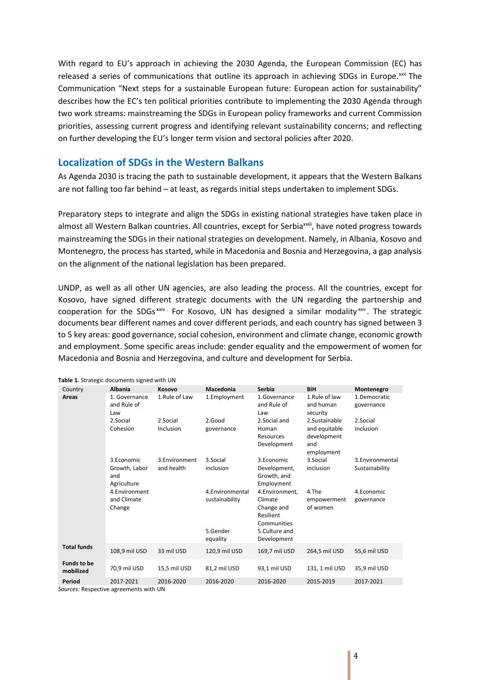With regard to EU's approach in achieving the 2030 Agenda, the European Commission (EC) has released a series of communications that outline its approach in achieving SDGs in Europe.<sup>xxii</sup> The Communication "Next steps for a sustainable European future: European action for sustainability" describes how the EC's ten political priorities contribute to implementing the 2030 Agenda through two work streams: mainstreaming the SDGs in European policy frameworks and current Commission priorities, assessing current progress and identifying relevant sustainability concerns; and reflecting on further developing the EU's longer term vision and sectoral policies after 2020.

#### **Localization of SDGs in the Western Balkans**

As Agenda 2030 is tracing the path to sustainable development, it appears that the Western Balkans are not falling too far behind – at least, as regards initial steps undertaken to implement SDGs.

Preparatory steps to integrate and align the SDGs in existing national strategies have taken place in almost all Western Balkan countries. All countries, except for Serbia<sup>xxiii</sup>, have noted progress towards mainstreaming the SDGs in their national strategies on development. Namely, in Albania, Kosovo and Montenegro, the process has started, while in Macedonia and Bosnia and Herzegovina, a gap analysis on the alignment of the national legislation has been prepared.

UNDP, as well as all other UN agencies, are also leading the process. All the countries, except for Kosovo, have signed different strategic documents with the UN regarding the partnership and cooperation for the SDGs<sup>xxiv</sup> For Kosovo, UN has designed a similar modality<sup>xxv</sup>. The strategic documents bear different names and cover different periods, and each country has signed between 3 to 5 key areas: good governance, social cohesion, environment and climate change, economic growth and employment. Some specific areas include: gender equality and the empowerment of women for Macedonia and Bosnia and Herzegovina, and culture and development for Serbia.

| <b>Albania</b>                                    | Kosovo                      | Macedonia                                          | Serbia                                                                               | <b>BiH</b>                                                         | Montenegro                         |
|---------------------------------------------------|-----------------------------|----------------------------------------------------|--------------------------------------------------------------------------------------|--------------------------------------------------------------------|------------------------------------|
| 1. Governance<br>and Rule of<br>Law               | 1.Rule of Law               | 1.Employment                                       | 1.Governance<br>and Rule of<br>Law                                                   | 1.Rule of law<br>and human<br>security                             | 1.Democratic<br>governance         |
| 2.Social<br>Cohesion                              | 2.Social<br>Inclusion       | 2.Good<br>governance                               | 2.Social and<br>Human<br>Resources<br>Development                                    | 2.Sustainable<br>and equitable<br>development<br>and<br>employment | 2.Social<br>Inclusion              |
| 3.Economic<br>Growth, Labor<br>and<br>Agriculture | 3.Environment<br>and health | 3.Social<br>inclusion                              | 3.Economic<br>Development,<br>Growth, and<br>Employment                              | 3.Social<br>inclusion                                              | 3. Environmental<br>Sustainability |
| 4.Environment<br>and Climate<br>Change            |                             | 4.Environmental<br>sustainability<br>5.Gender      | 4.Environment,<br>Climate<br>Change and<br>Resilient<br>Communities<br>5.Culture and | 4.The<br>empowerment<br>of women                                   | 4.Economic<br>governance           |
| 108,9 mil USD                                     | 33 mil USD                  | 120,9 mil USD                                      | 169,7 mil USD                                                                        | 264,5 mil USD                                                      | 55,6 mil USD                       |
| 70.9 mil USD                                      | 15.5 mil USD                | 81,2 mil USD                                       | 93.1 mil USD                                                                         | 131, 1 mil USD                                                     | 35.9 mil USD                       |
| 2017-2021                                         | 2016-2020                   | 2016-2020                                          | 2016-2020                                                                            | 2015-2019                                                          | 2017-2021                          |
|                                                   |                             | <b>Table 1.</b> Strategic documents signed with ON | equality                                                                             | Development                                                        |                                    |

**Table 1.** Strategic documents signed with UN

*Sources:* Respective agreements with UN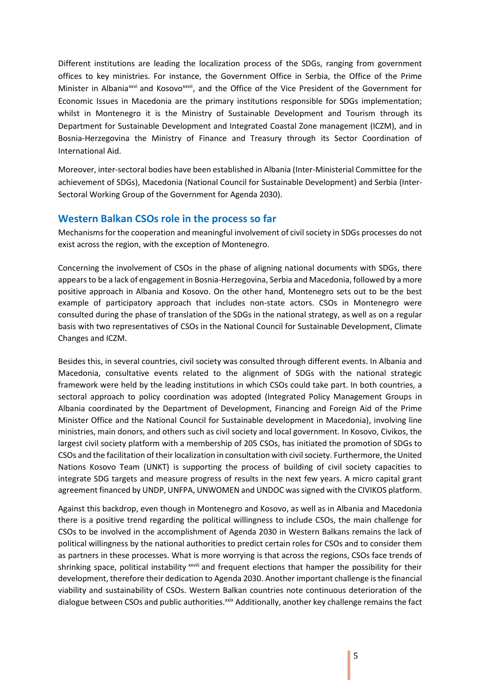Different institutions are leading the localization process of the SDGs, ranging from government offices to key ministries. For instance, the Government Office in Serbia, the Office of the Prime Minister in Albania<sup>xxvi</sup> and Kosovo<sup>xxvii</sup>, and the Office of the Vice President of the Government for Economic Issues in Macedonia are the primary institutions responsible for SDGs implementation; whilst in Montenegro it is the Ministry of Sustainable Development and Tourism through its Department for Sustainable Development and Integrated Coastal Zone management (ICZM), and in Bosnia-Herzegovina the Ministry of Finance and Treasury through its Sector Coordination of International Aid.

Moreover, inter-sectoral bodies have been established in Albania (Inter-Ministerial Committee for the achievement of SDGs), Macedonia (National Council for Sustainable Development) and Serbia (Inter-Sectoral Working Group of the Government for Agenda 2030).

#### **Western Balkan CSOs role in the process so far**

Mechanisms for the cooperation and meaningful involvement of civil society in SDGs processes do not exist across the region, with the exception of Montenegro.

Concerning the involvement of CSOs in the phase of aligning national documents with SDGs, there appears to be a lack of engagement in Bosnia-Herzegovina, Serbia and Macedonia, followed by a more positive approach in Albania and Kosovo. On the other hand, Montenegro sets out to be the best example of participatory approach that includes non-state actors. CSOs in Montenegro were consulted during the phase of translation of the SDGs in the national strategy, as well as on a regular basis with two representatives of CSOs in the National Council for Sustainable Development, Climate Changes and ICZM.

Besides this, in several countries, civil society was consulted through different events. In Albania and Macedonia, consultative events related to the alignment of SDGs with the national strategic framework were held by the leading institutions in which CSOs could take part. In both countries, a sectoral approach to policy coordination was adopted (Integrated Policy Management Groups in Albania coordinated by the Department of Development, Financing and Foreign Aid of the Prime Minister Office and the National Council for Sustainable development in Macedonia), involving line ministries, main donors, and others such as civil society and local government. In Kosovo, Civikos, the largest civil society platform with a membership of 205 CSOs, has initiated the promotion of SDGs to CSOs and the facilitation of their localization in consultation with civil society. Furthermore, the United Nations Kosovo Team (UNKT) is supporting the process of building of civil society capacities to integrate SDG targets and measure progress of results in the next few years. A micro capital grant agreement financed by UNDP, UNFPA, UNWOMEN and UNDOC was signed with the CIVIKOS platform.

Against this backdrop, even though in Montenegro and Kosovo, as well as in Albania and Macedonia there is a positive trend regarding the political willingness to include CSOs, the main challenge for CSOs to be involved in the accomplishment of Agenda 2030 in Western Balkans remains the lack of political willingness by the national authorities to predict certain roles for CSOs and to consider them as partners in these processes. What is more worrying is that across the regions, CSOs face trends of shrinking space, political instability x iii and frequent elections that hamper the possibility for their development, therefore their dedication to Agenda 2030. Another important challenge is the financial viability and sustainability of CSOs. Western Balkan countries note continuous deterioration of the dialogue between CSOs and public authorities.<sup>xxix</sup> Additionally, another key challenge remains the fact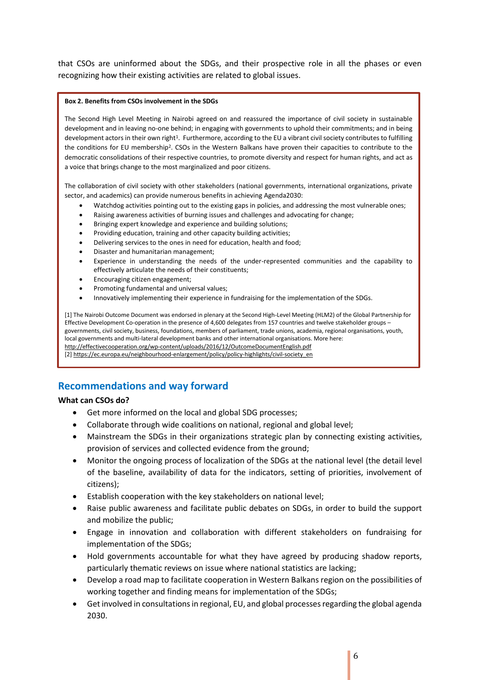that CSOs are uninformed about the SDGs, and their prospective role in all the phases or even recognizing how their existing activities are related to global issues.

#### **Box 2. Benefits from CSOs involvement in the SDGs**

The Second High Level Meeting in Nairobi agreed on and reassured the importance of civil society in sustainable development and in leaving no-one behind; in engaging with governments to uphold their commitments; and in being development actors in their own right<sup>1</sup>. Furthermore, according to the EU a vibrant civil society contributes to fulfilling the conditions for EU membership<sup>2</sup>. CSOs in the Western Balkans have proven their capacities to contribute to the democratic consolidations of their respective countries, to promote diversity and respect for human rights, and act as a voice that brings change to the most marginalized and poor citizens.

The collaboration of civil society with other stakeholders (national governments, international organizations, private sector, and academics) can provide numerous benefits in achieving Agenda2030:

- Watchdog activities pointing out to the existing gaps in policies, and addressing the most vulnerable ones;
- Raising awareness activities of burning issues and challenges and advocating for change;
- Bringing expert knowledge and experience and building solutions;
- Providing education, training and other capacity building activities;
- Delivering services to the ones in need for education, health and food;
- Disaster and humanitarian management;
- Experience in understanding the needs of the under-represented communities and the capability to effectively articulate the needs of their constituents;
- Encouraging citizen engagement;
- Promoting fundamental and universal values;
- Innovatively implementing their experience in fundraising for the implementation of the SDGs.

[1] The Nairobi Outcome Document was endorsed in plenary at the Second High-Level Meeting (HLM2) of the Global Partnership for Effective Development Co-operation in the presence of 4,600 delegates from 157 countries and twelve stakeholder groups – governments, civil society, business, foundations, members of parliament, trade unions, academia, regional organisations, youth, local governments and multi-lateral development banks and other international organisations. More here: <http://effectivecooperation.org/wp-content/uploads/2016/12/OutcomeDocumentEnglish.pdf> [2[\] https://ec.europa.eu/neighbourhood-enlargement/policy/policy-highlights/civil-society\\_en](https://ec.europa.eu/neighbourhood-enlargement/policy/policy-highlights/civil-society_en)

## **Recommendations and way forward**

#### **What can CSOs do?**

- Get more informed on the local and global SDG processes;
- Collaborate through wide coalitions on national, regional and global level;
- Mainstream the SDGs in their organizations strategic plan by connecting existing activities, provision of services and collected evidence from the ground;
- Monitor the ongoing process of localization of the SDGs at the national level (the detail level of the baseline, availability of data for the indicators, setting of priorities, involvement of citizens);
- Establish cooperation with the key stakeholders on national level;
- Raise public awareness and facilitate public debates on SDGs, in order to build the support and mobilize the public;
- Engage in innovation and collaboration with different stakeholders on fundraising for implementation of the SDGs;
- Hold governments accountable for what they have agreed by producing shadow reports, particularly thematic reviews on issue where national statistics are lacking;
- Develop a road map to facilitate cooperation in Western Balkans region on the possibilities of working together and finding means for implementation of the SDGs;
- Get involved in consultations in regional, EU, and global processes regarding the global agenda 2030.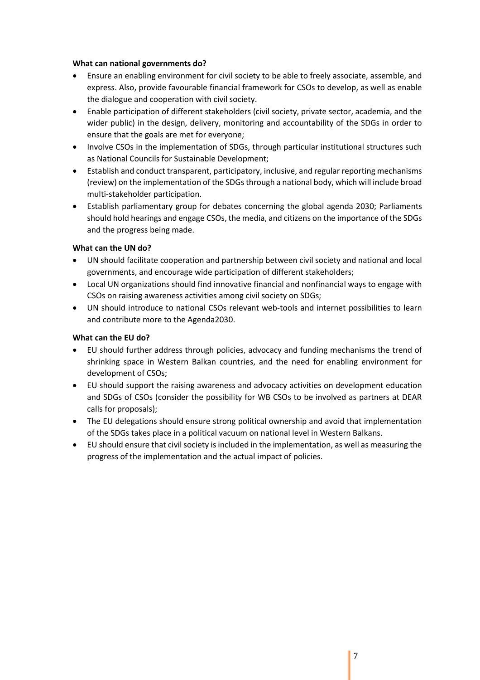#### **What can national governments do?**

- Ensure an enabling environment for civil society to be able to freely associate, assemble, and express. Also, provide favourable financial framework for CSOs to develop, as well as enable the dialogue and cooperation with civil society.
- Enable participation of different stakeholders (civil society, private sector, academia, and the wider public) in the design, delivery, monitoring and accountability of the SDGs in order to ensure that the goals are met for everyone;
- Involve CSOs in the implementation of SDGs, through particular institutional structures such as National Councils for Sustainable Development;
- Establish and conduct transparent, participatory, inclusive, and regular reporting mechanisms (review) on the implementation of the SDGs through a national body, which will include broad multi-stakeholder participation.
- Establish parliamentary group for debates concerning the global agenda 2030; Parliaments should hold hearings and engage CSOs, the media, and citizens on the importance of the SDGs and the progress being made.

#### **What can the UN do?**

- UN should facilitate cooperation and partnership between civil society and national and local governments, and encourage wide participation of different stakeholders;
- Local UN organizations should find innovative financial and nonfinancial ways to engage with CSOs on raising awareness activities among civil society on SDGs;
- UN should introduce to national CSOs relevant web-tools and internet possibilities to learn and contribute more to the Agenda2030.

#### **What can the EU do?**

- EU should further address through policies, advocacy and funding mechanisms the trend of shrinking space in Western Balkan countries, and the need for enabling environment for development of CSOs;
- EU should support the raising awareness and advocacy activities on development education and SDGs of CSOs (consider the possibility for WB CSOs to be involved as partners at DEAR calls for proposals);
- The EU delegations should ensure strong political ownership and avoid that implementation of the SDGs takes place in a political vacuum on national level in Western Balkans.
- EU should ensure that civil society is included in the implementation, as well as measuring the progress of the implementation and the actual impact of policies.